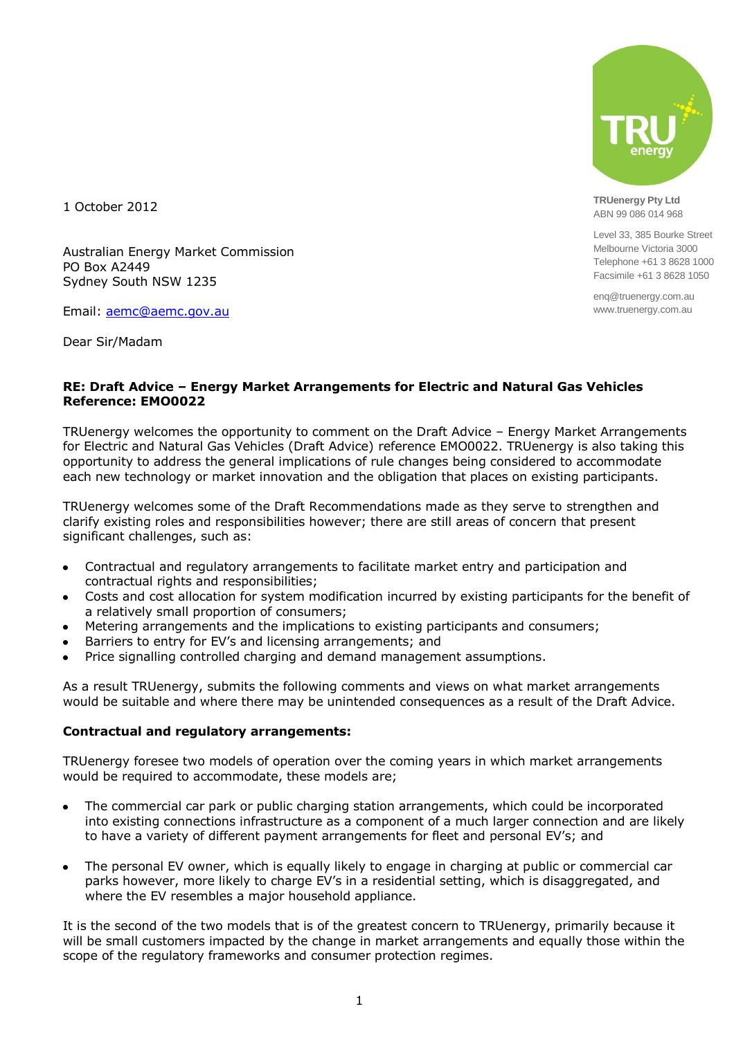

**TRUenergy Pty Ltd** ABN 99 086 014 968

Level 33, 385 Bourke Street Melbourne Victoria 3000 Telephone +61 3 8628 1000 Facsimile +61 3 8628 1050

enq@truenergy.com.au www.truenergy.com.au

1 October 2012

Australian Energy Market Commission PO Box A2449 Sydney South NSW 1235

Email: [aemc@aemc.gov.au](mailto:aemc@aemc.gov.au)

Dear Sir/Madam

#### **RE: Draft Advice – Energy Market Arrangements for Electric and Natural Gas Vehicles Reference: EMO0022**

TRUenergy welcomes the opportunity to comment on the Draft Advice – Energy Market Arrangements for Electric and Natural Gas Vehicles (Draft Advice) reference EMO0022. TRUenergy is also taking this opportunity to address the general implications of rule changes being considered to accommodate each new technology or market innovation and the obligation that places on existing participants.

TRUenergy welcomes some of the Draft Recommendations made as they serve to strengthen and clarify existing roles and responsibilities however; there are still areas of concern that present significant challenges, such as:

- Contractual and regulatory arrangements to facilitate market entry and participation and contractual rights and responsibilities;
- Costs and cost allocation for system modification incurred by existing participants for the benefit of  $\bullet$ a relatively small proportion of consumers;
- Metering arrangements and the implications to existing participants and consumers;
- Barriers to entry for EV's and licensing arrangements; and
- Price signalling controlled charging and demand management assumptions.

As a result TRUenergy, submits the following comments and views on what market arrangements would be suitable and where there may be unintended consequences as a result of the Draft Advice.

#### **Contractual and regulatory arrangements:**

TRUenergy foresee two models of operation over the coming years in which market arrangements would be required to accommodate, these models are;

- The commercial car park or public charging station arrangements, which could be incorporated into existing connections infrastructure as a component of a much larger connection and are likely to have a variety of different payment arrangements for fleet and personal EV's; and
- The personal EV owner, which is equally likely to engage in charging at public or commercial car  $\bullet$ parks however, more likely to charge EV's in a residential setting, which is disaggregated, and where the EV resembles a major household appliance.

It is the second of the two models that is of the greatest concern to TRUenergy, primarily because it will be small customers impacted by the change in market arrangements and equally those within the scope of the regulatory frameworks and consumer protection regimes.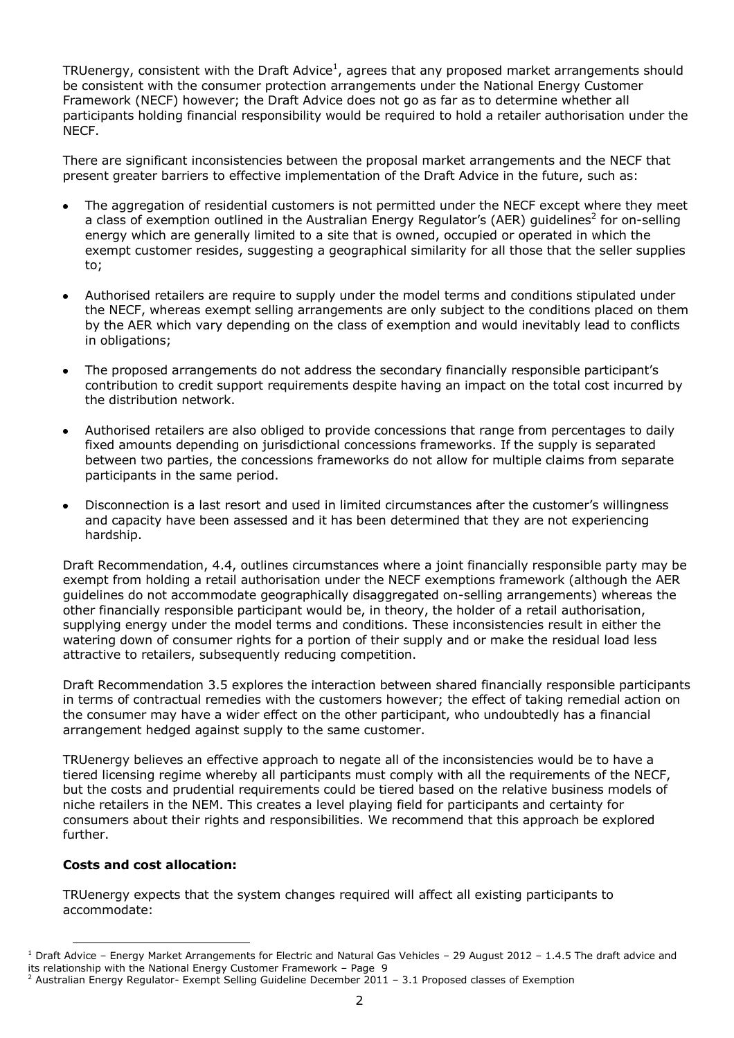TRUenergy, consistent with the Draft Advice<sup>1</sup>, agrees that any proposed market arrangements should be consistent with the consumer protection arrangements under the National Energy Customer Framework (NECF) however; the Draft Advice does not go as far as to determine whether all participants holding financial responsibility would be required to hold a retailer authorisation under the NECF.

There are significant inconsistencies between the proposal market arrangements and the NECF that present greater barriers to effective implementation of the Draft Advice in the future, such as:

- The aggregation of residential customers is not permitted under the NECF except where they meet a class of exemption outlined in the Australian Energy Regulator's (AER) guidelines<sup>2</sup> for on-selling energy which are generally limited to a site that is owned, occupied or operated in which the exempt customer resides, suggesting a geographical similarity for all those that the seller supplies to;
- Authorised retailers are require to supply under the model terms and conditions stipulated under  $\bullet$ the NECF, whereas exempt selling arrangements are only subject to the conditions placed on them by the AER which vary depending on the class of exemption and would inevitably lead to conflicts in obligations;
- The proposed arrangements do not address the secondary financially responsible participant's  $\bullet$ contribution to credit support requirements despite having an impact on the total cost incurred by the distribution network.
- Authorised retailers are also obliged to provide concessions that range from percentages to daily fixed amounts depending on jurisdictional concessions frameworks. If the supply is separated between two parties, the concessions frameworks do not allow for multiple claims from separate participants in the same period.
- Disconnection is a last resort and used in limited circumstances after the customer's willingness  $\bullet$ and capacity have been assessed and it has been determined that they are not experiencing hardship.

Draft Recommendation, 4.4, outlines circumstances where a joint financially responsible party may be exempt from holding a retail authorisation under the NECF exemptions framework (although the AER guidelines do not accommodate geographically disaggregated on-selling arrangements) whereas the other financially responsible participant would be, in theory, the holder of a retail authorisation, supplying energy under the model terms and conditions. These inconsistencies result in either the watering down of consumer rights for a portion of their supply and or make the residual load less attractive to retailers, subsequently reducing competition.

Draft Recommendation 3.5 explores the interaction between shared financially responsible participants in terms of contractual remedies with the customers however; the effect of taking remedial action on the consumer may have a wider effect on the other participant, who undoubtedly has a financial arrangement hedged against supply to the same customer.

TRUenergy believes an effective approach to negate all of the inconsistencies would be to have a tiered licensing regime whereby all participants must comply with all the requirements of the NECF, but the costs and prudential requirements could be tiered based on the relative business models of niche retailers in the NEM. This creates a level playing field for participants and certainty for consumers about their rights and responsibilities. We recommend that this approach be explored further.

## **Costs and cost allocation:**

TRUenergy expects that the system changes required will affect all existing participants to accommodate:

 $\overline{a}$  $^1$  Draft Advice – Energy Market Arrangements for Electric and Natural Gas Vehicles – 29 August 2012 – 1.4.5 The draft advice and its relationship with the National Energy Customer Framework – Page 9

<sup>&</sup>lt;sup>2</sup> Australian Energy Regulator- Exempt Selling Guideline December  $2011 - 3.1$  Proposed classes of Exemption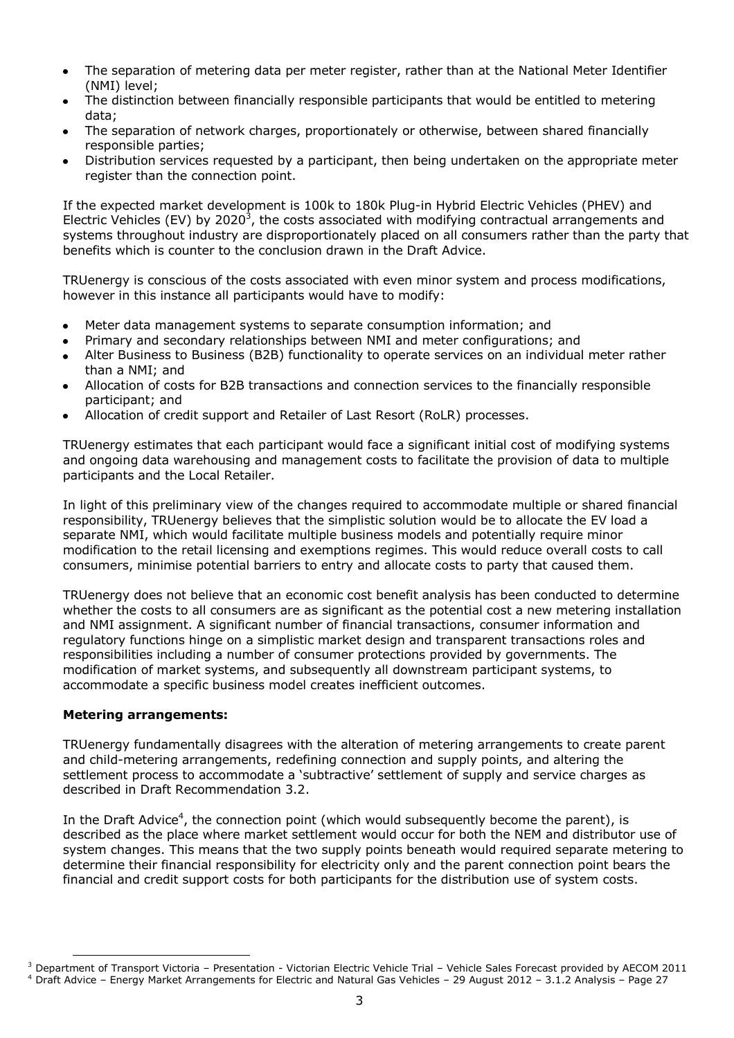- The separation of metering data per meter register, rather than at the National Meter Identifier (NMI) level;
- The distinction between financially responsible participants that would be entitled to metering data;
- The separation of network charges, proportionately or otherwise, between shared financially responsible parties;
- Distribution services requested by a participant, then being undertaken on the appropriate meter  $\bullet$ register than the connection point.

If the expected market development is 100k to 180k Plug-in Hybrid Electric Vehicles (PHEV) and Electric Vehicles (EV) by 2020<sup>3</sup>, the costs associated with modifying contractual arrangements and systems throughout industry are disproportionately placed on all consumers rather than the party that benefits which is counter to the conclusion drawn in the Draft Advice.

TRUenergy is conscious of the costs associated with even minor system and process modifications, however in this instance all participants would have to modify:

- Meter data management systems to separate consumption information; and  $\bullet$
- Primary and secondary relationships between NMI and meter configurations; and  $\bullet$
- Alter Business to Business (B2B) functionality to operate services on an individual meter rather than a NMI; and
- Allocation of costs for B2B transactions and connection services to the financially responsible  $\bullet$ participant; and
- Allocation of credit support and Retailer of Last Resort (RoLR) processes.

TRUenergy estimates that each participant would face a significant initial cost of modifying systems and ongoing data warehousing and management costs to facilitate the provision of data to multiple participants and the Local Retailer.

In light of this preliminary view of the changes required to accommodate multiple or shared financial responsibility, TRUenergy believes that the simplistic solution would be to allocate the EV load a separate NMI, which would facilitate multiple business models and potentially require minor modification to the retail licensing and exemptions regimes. This would reduce overall costs to call consumers, minimise potential barriers to entry and allocate costs to party that caused them.

TRUenergy does not believe that an economic cost benefit analysis has been conducted to determine whether the costs to all consumers are as significant as the potential cost a new metering installation and NMI assignment. A significant number of financial transactions, consumer information and regulatory functions hinge on a simplistic market design and transparent transactions roles and responsibilities including a number of consumer protections provided by governments. The modification of market systems, and subsequently all downstream participant systems, to accommodate a specific business model creates inefficient outcomes.

## **Metering arrangements:**

TRUenergy fundamentally disagrees with the alteration of metering arrangements to create parent and child-metering arrangements, redefining connection and supply points, and altering the settlement process to accommodate a 'subtractive' settlement of supply and service charges as described in Draft Recommendation 3.2.

In the Draft Advice<sup>4</sup>, the connection point (which would subsequently become the parent), is described as the place where market settlement would occur for both the NEM and distributor use of system changes. This means that the two supply points beneath would required separate metering to determine their financial responsibility for electricity only and the parent connection point bears the financial and credit support costs for both participants for the distribution use of system costs.

l  $3$  Department of Transport Victoria – Presentation - Victorian Electric Vehicle Trial – Vehicle Sales Forecast provided by AECOM 2011 <sup>4</sup> Draft Advice – Energy Market Arrangements for Electric and Natural Gas Vehicles – 29 August 2012 – 3.1.2 Analysis – Page 27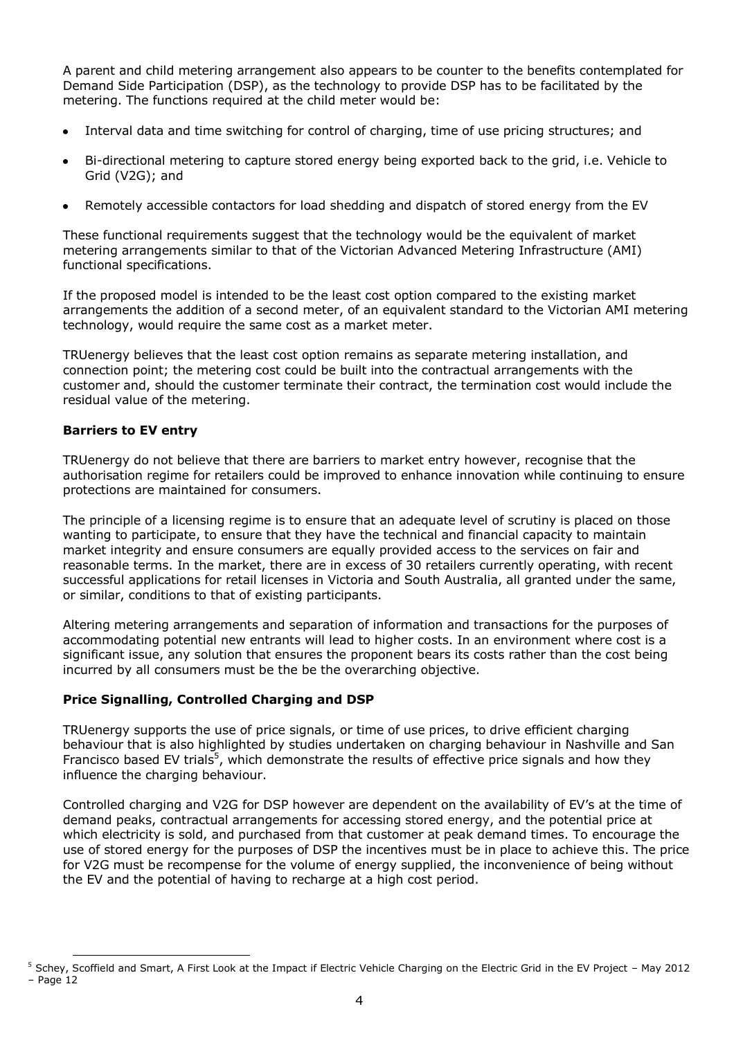A parent and child metering arrangement also appears to be counter to the benefits contemplated for Demand Side Participation (DSP), as the technology to provide DSP has to be facilitated by the metering. The functions required at the child meter would be:

- Interval data and time switching for control of charging, time of use pricing structures; and
- Bi-directional metering to capture stored energy being exported back to the grid, i.e. Vehicle to  $\bullet$ Grid (V2G); and
- Remotely accessible contactors for load shedding and dispatch of stored energy from the EV

These functional requirements suggest that the technology would be the equivalent of market metering arrangements similar to that of the Victorian Advanced Metering Infrastructure (AMI) functional specifications.

If the proposed model is intended to be the least cost option compared to the existing market arrangements the addition of a second meter, of an equivalent standard to the Victorian AMI metering technology, would require the same cost as a market meter.

TRUenergy believes that the least cost option remains as separate metering installation, and connection point; the metering cost could be built into the contractual arrangements with the customer and, should the customer terminate their contract, the termination cost would include the residual value of the metering.

### **Barriers to EV entry**

l

TRUenergy do not believe that there are barriers to market entry however, recognise that the authorisation regime for retailers could be improved to enhance innovation while continuing to ensure protections are maintained for consumers.

The principle of a licensing regime is to ensure that an adequate level of scrutiny is placed on those wanting to participate, to ensure that they have the technical and financial capacity to maintain market integrity and ensure consumers are equally provided access to the services on fair and reasonable terms. In the market, there are in excess of 30 retailers currently operating, with recent successful applications for retail licenses in Victoria and South Australia, all granted under the same, or similar, conditions to that of existing participants.

Altering metering arrangements and separation of information and transactions for the purposes of accommodating potential new entrants will lead to higher costs. In an environment where cost is a significant issue, any solution that ensures the proponent bears its costs rather than the cost being incurred by all consumers must be the be the overarching objective.

## **Price Signalling, Controlled Charging and DSP**

TRUenergy supports the use of price signals, or time of use prices, to drive efficient charging behaviour that is also highlighted by studies undertaken on charging behaviour in Nashville and San Francisco based EV trials<sup>5</sup>, which demonstrate the results of effective price signals and how they influence the charging behaviour.

Controlled charging and V2G for DSP however are dependent on the availability of EV's at the time of demand peaks, contractual arrangements for accessing stored energy, and the potential price at which electricity is sold, and purchased from that customer at peak demand times. To encourage the use of stored energy for the purposes of DSP the incentives must be in place to achieve this. The price for V2G must be recompense for the volume of energy supplied, the inconvenience of being without the EV and the potential of having to recharge at a high cost period.

 $5$  Schey, Scoffield and Smart, A First Look at the Impact if Electric Vehicle Charging on the Electric Grid in the EV Project - May 2012  $-$  Page 12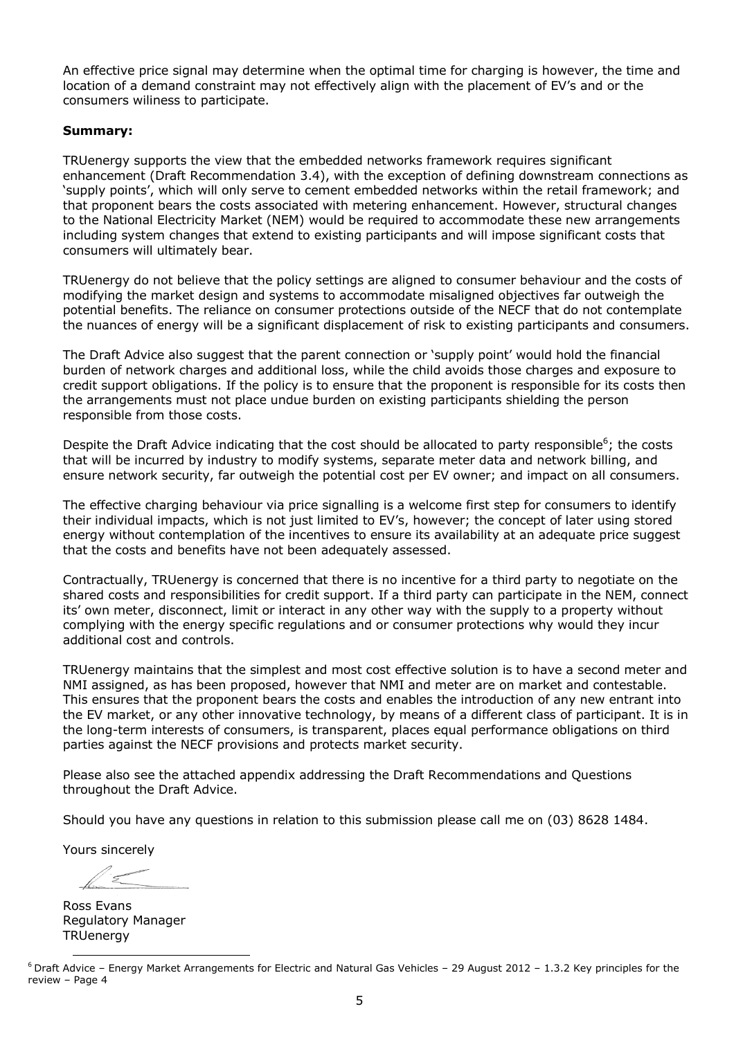An effective price signal may determine when the optimal time for charging is however, the time and location of a demand constraint may not effectively align with the placement of EV's and or the consumers wiliness to participate.

### **Summary:**

TRUenergy supports the view that the embedded networks framework requires significant enhancement (Draft Recommendation 3.4), with the exception of defining downstream connections as 'supply points', which will only serve to cement embedded networks within the retail framework; and that proponent bears the costs associated with metering enhancement. However, structural changes to the National Electricity Market (NEM) would be required to accommodate these new arrangements including system changes that extend to existing participants and will impose significant costs that consumers will ultimately bear.

TRUenergy do not believe that the policy settings are aligned to consumer behaviour and the costs of modifying the market design and systems to accommodate misaligned objectives far outweigh the potential benefits. The reliance on consumer protections outside of the NECF that do not contemplate the nuances of energy will be a significant displacement of risk to existing participants and consumers.

The Draft Advice also suggest that the parent connection or 'supply point' would hold the financial burden of network charges and additional loss, while the child avoids those charges and exposure to credit support obligations. If the policy is to ensure that the proponent is responsible for its costs then the arrangements must not place undue burden on existing participants shielding the person responsible from those costs.

Despite the Draft Advice indicating that the cost should be allocated to party responsible<sup>6</sup>; the costs that will be incurred by industry to modify systems, separate meter data and network billing, and ensure network security, far outweigh the potential cost per EV owner; and impact on all consumers.

The effective charging behaviour via price signalling is a welcome first step for consumers to identify their individual impacts, which is not just limited to EV's, however; the concept of later using stored energy without contemplation of the incentives to ensure its availability at an adequate price suggest that the costs and benefits have not been adequately assessed.

Contractually, TRUenergy is concerned that there is no incentive for a third party to negotiate on the shared costs and responsibilities for credit support. If a third party can participate in the NEM, connect its' own meter, disconnect, limit or interact in any other way with the supply to a property without complying with the energy specific regulations and or consumer protections why would they incur additional cost and controls.

TRUenergy maintains that the simplest and most cost effective solution is to have a second meter and NMI assigned, as has been proposed, however that NMI and meter are on market and contestable. This ensures that the proponent bears the costs and enables the introduction of any new entrant into the EV market, or any other innovative technology, by means of a different class of participant. It is in the long-term interests of consumers, is transparent, places equal performance obligations on third parties against the NECF provisions and protects market security.

Please also see the attached appendix addressing the Draft Recommendations and Questions throughout the Draft Advice.

Should you have any questions in relation to this submission please call me on (03) 8628 1484.

Yours sincerely

l

Ross Evans Regulatory Manager **TRUenergy** 

 $6$  Draft Advice – Energy Market Arrangements for Electric and Natural Gas Vehicles – 29 August 2012 – 1.3.2 Key principles for the review – Page 4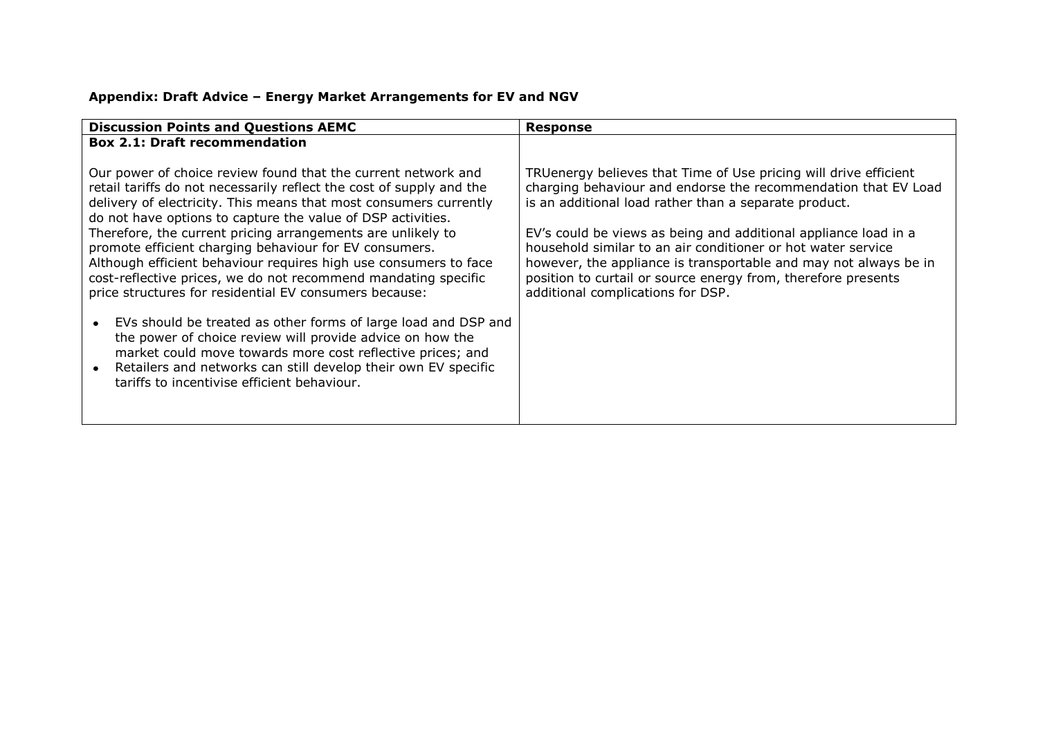# **Appendix: Draft Advice – Energy Market Arrangements for EV and NGV**

| <b>Discussion Points and Questions AEMC</b>                                                                                                                                                                                                                                                                                                                                                                                                                                                                                                                                                                                                                                                                                                                                                                                                                                                                      | Response                                                                                                                                                                                                                                                                                                                                                                                                                                                                                                 |
|------------------------------------------------------------------------------------------------------------------------------------------------------------------------------------------------------------------------------------------------------------------------------------------------------------------------------------------------------------------------------------------------------------------------------------------------------------------------------------------------------------------------------------------------------------------------------------------------------------------------------------------------------------------------------------------------------------------------------------------------------------------------------------------------------------------------------------------------------------------------------------------------------------------|----------------------------------------------------------------------------------------------------------------------------------------------------------------------------------------------------------------------------------------------------------------------------------------------------------------------------------------------------------------------------------------------------------------------------------------------------------------------------------------------------------|
| <b>Box 2.1: Draft recommendation</b>                                                                                                                                                                                                                                                                                                                                                                                                                                                                                                                                                                                                                                                                                                                                                                                                                                                                             |                                                                                                                                                                                                                                                                                                                                                                                                                                                                                                          |
| Our power of choice review found that the current network and<br>retail tariffs do not necessarily reflect the cost of supply and the<br>delivery of electricity. This means that most consumers currently<br>do not have options to capture the value of DSP activities.<br>Therefore, the current pricing arrangements are unlikely to<br>promote efficient charging behaviour for EV consumers.<br>Although efficient behaviour requires high use consumers to face<br>cost-reflective prices, we do not recommend mandating specific<br>price structures for residential EV consumers because:<br>EVs should be treated as other forms of large load and DSP and<br>the power of choice review will provide advice on how the<br>market could move towards more cost reflective prices; and<br>Retailers and networks can still develop their own EV specific<br>tariffs to incentivise efficient behaviour. | TRUenergy believes that Time of Use pricing will drive efficient<br>charging behaviour and endorse the recommendation that EV Load<br>is an additional load rather than a separate product.<br>EV's could be views as being and additional appliance load in a<br>household similar to an air conditioner or hot water service<br>however, the appliance is transportable and may not always be in<br>position to curtail or source energy from, therefore presents<br>additional complications for DSP. |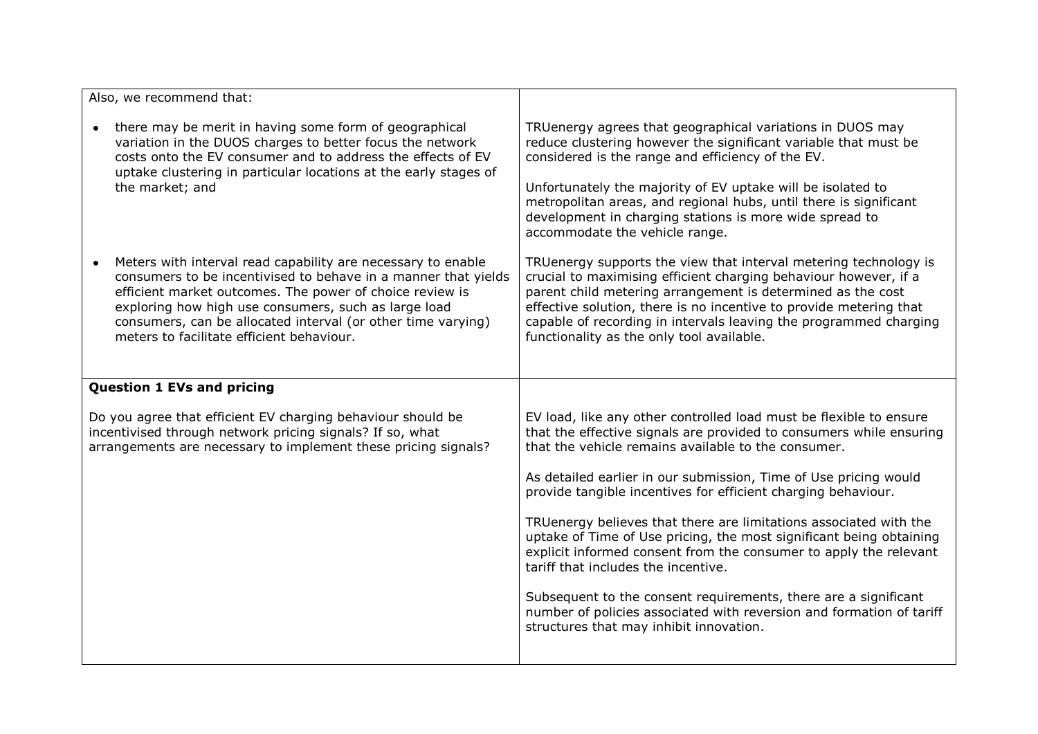| Also, we recommend that:                                                                                                                                                                                                                                                                                                                                        |                                                                                                                                                                                                                                                                                                                                                                                                                    |
|-----------------------------------------------------------------------------------------------------------------------------------------------------------------------------------------------------------------------------------------------------------------------------------------------------------------------------------------------------------------|--------------------------------------------------------------------------------------------------------------------------------------------------------------------------------------------------------------------------------------------------------------------------------------------------------------------------------------------------------------------------------------------------------------------|
| there may be merit in having some form of geographical<br>variation in the DUOS charges to better focus the network<br>costs onto the EV consumer and to address the effects of EV<br>uptake clustering in particular locations at the early stages of<br>the market; and                                                                                       | TRUenergy agrees that geographical variations in DUOS may<br>reduce clustering however the significant variable that must be<br>considered is the range and efficiency of the EV.<br>Unfortunately the majority of EV uptake will be isolated to<br>metropolitan areas, and regional hubs, until there is significant<br>development in charging stations is more wide spread to<br>accommodate the vehicle range. |
| Meters with interval read capability are necessary to enable<br>consumers to be incentivised to behave in a manner that yields<br>efficient market outcomes. The power of choice review is<br>exploring how high use consumers, such as large load<br>consumers, can be allocated interval (or other time varying)<br>meters to facilitate efficient behaviour. | TRUenergy supports the view that interval metering technology is<br>crucial to maximising efficient charging behaviour however, if a<br>parent child metering arrangement is determined as the cost<br>effective solution, there is no incentive to provide metering that<br>capable of recording in intervals leaving the programmed charging<br>functionality as the only tool available.                        |
| <b>Question 1 EVs and pricing</b>                                                                                                                                                                                                                                                                                                                               |                                                                                                                                                                                                                                                                                                                                                                                                                    |
| Do you agree that efficient EV charging behaviour should be<br>incentivised through network pricing signals? If so, what<br>arrangements are necessary to implement these pricing signals?                                                                                                                                                                      | EV load, like any other controlled load must be flexible to ensure<br>that the effective signals are provided to consumers while ensuring<br>that the vehicle remains available to the consumer.                                                                                                                                                                                                                   |
|                                                                                                                                                                                                                                                                                                                                                                 | As detailed earlier in our submission, Time of Use pricing would<br>provide tangible incentives for efficient charging behaviour.                                                                                                                                                                                                                                                                                  |
|                                                                                                                                                                                                                                                                                                                                                                 | TRUenergy believes that there are limitations associated with the<br>uptake of Time of Use pricing, the most significant being obtaining<br>explicit informed consent from the consumer to apply the relevant<br>tariff that includes the incentive.                                                                                                                                                               |
|                                                                                                                                                                                                                                                                                                                                                                 | Subsequent to the consent requirements, there are a significant<br>number of policies associated with reversion and formation of tariff<br>structures that may inhibit innovation.                                                                                                                                                                                                                                 |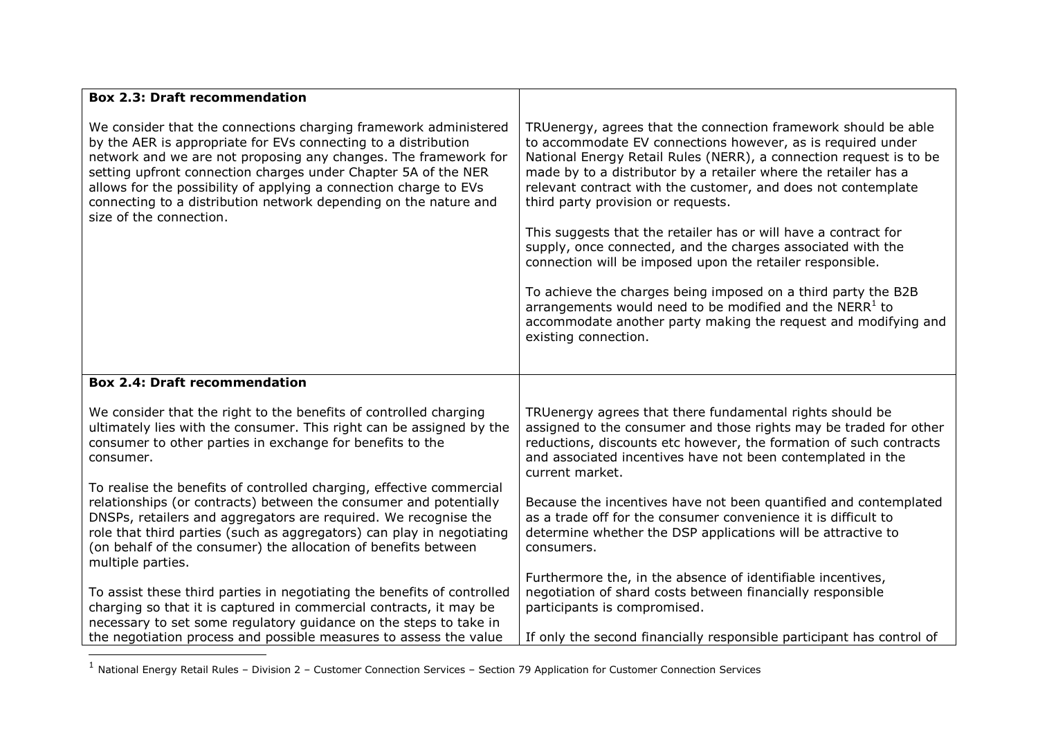| <b>Box 2.3: Draft recommendation</b>                                                                                                                                                                                                                                                                                                                                                                                                        |                                                                                                                                                                                                                                                                                                                                                                                                                                                  |
|---------------------------------------------------------------------------------------------------------------------------------------------------------------------------------------------------------------------------------------------------------------------------------------------------------------------------------------------------------------------------------------------------------------------------------------------|--------------------------------------------------------------------------------------------------------------------------------------------------------------------------------------------------------------------------------------------------------------------------------------------------------------------------------------------------------------------------------------------------------------------------------------------------|
| We consider that the connections charging framework administered<br>by the AER is appropriate for EVs connecting to a distribution<br>network and we are not proposing any changes. The framework for<br>setting upfront connection charges under Chapter 5A of the NER<br>allows for the possibility of applying a connection charge to EVs<br>connecting to a distribution network depending on the nature and<br>size of the connection. | TRUenergy, agrees that the connection framework should be able<br>to accommodate EV connections however, as is required under<br>National Energy Retail Rules (NERR), a connection request is to be<br>made by to a distributor by a retailer where the retailer has a<br>relevant contract with the customer, and does not contemplate<br>third party provision or requests.<br>This suggests that the retailer has or will have a contract for |
|                                                                                                                                                                                                                                                                                                                                                                                                                                             | supply, once connected, and the charges associated with the<br>connection will be imposed upon the retailer responsible.                                                                                                                                                                                                                                                                                                                         |
|                                                                                                                                                                                                                                                                                                                                                                                                                                             | To achieve the charges being imposed on a third party the B2B<br>arrangements would need to be modified and the $NERR1$ to<br>accommodate another party making the request and modifying and<br>existing connection.                                                                                                                                                                                                                             |
| <b>Box 2.4: Draft recommendation</b>                                                                                                                                                                                                                                                                                                                                                                                                        |                                                                                                                                                                                                                                                                                                                                                                                                                                                  |
| We consider that the right to the benefits of controlled charging<br>ultimately lies with the consumer. This right can be assigned by the<br>consumer to other parties in exchange for benefits to the<br>consumer.                                                                                                                                                                                                                         | TRUenergy agrees that there fundamental rights should be<br>assigned to the consumer and those rights may be traded for other<br>reductions, discounts etc however, the formation of such contracts<br>and associated incentives have not been contemplated in the<br>current market.                                                                                                                                                            |
| To realise the benefits of controlled charging, effective commercial<br>relationships (or contracts) between the consumer and potentially<br>DNSPs, retailers and aggregators are required. We recognise the<br>role that third parties (such as aggregators) can play in negotiating<br>(on behalf of the consumer) the allocation of benefits between<br>multiple parties.                                                                | Because the incentives have not been quantified and contemplated<br>as a trade off for the consumer convenience it is difficult to<br>determine whether the DSP applications will be attractive to<br>consumers.                                                                                                                                                                                                                                 |
| To assist these third parties in negotiating the benefits of controlled<br>charging so that it is captured in commercial contracts, it may be<br>necessary to set some regulatory guidance on the steps to take in<br>the negotiation process and possible measures to assess the value                                                                                                                                                     | Furthermore the, in the absence of identifiable incentives,<br>negotiation of shard costs between financially responsible<br>participants is compromised.<br>If only the second financially responsible participant has control of                                                                                                                                                                                                               |
|                                                                                                                                                                                                                                                                                                                                                                                                                                             |                                                                                                                                                                                                                                                                                                                                                                                                                                                  |

 1 National Energy Retail Rules – Division 2 – Customer Connection Services – Section 79 Application for Customer Connection Services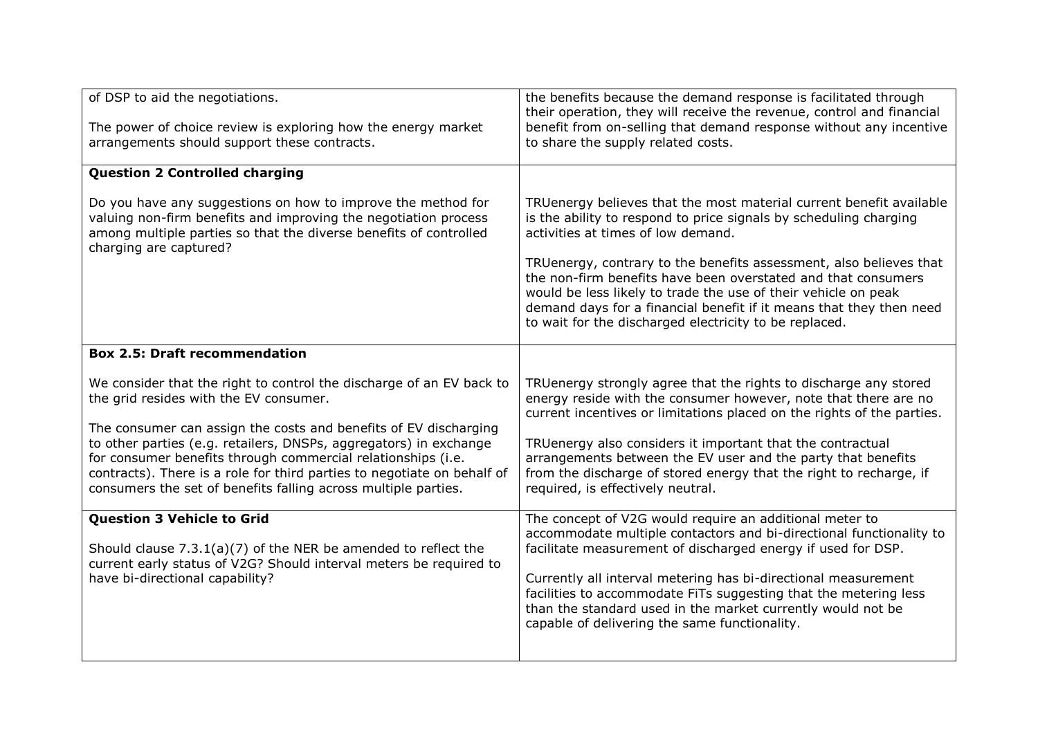| of DSP to aid the negotiations.<br>The power of choice review is exploring how the energy market<br>arrangements should support these contracts.                                                                                                                                                                                                                                                                                                                     | the benefits because the demand response is facilitated through<br>their operation, they will receive the revenue, control and financial<br>benefit from on-selling that demand response without any incentive<br>to share the supply related costs.                                                                                                                                                                                                                                                                     |
|----------------------------------------------------------------------------------------------------------------------------------------------------------------------------------------------------------------------------------------------------------------------------------------------------------------------------------------------------------------------------------------------------------------------------------------------------------------------|--------------------------------------------------------------------------------------------------------------------------------------------------------------------------------------------------------------------------------------------------------------------------------------------------------------------------------------------------------------------------------------------------------------------------------------------------------------------------------------------------------------------------|
| <b>Question 2 Controlled charging</b>                                                                                                                                                                                                                                                                                                                                                                                                                                |                                                                                                                                                                                                                                                                                                                                                                                                                                                                                                                          |
| Do you have any suggestions on how to improve the method for<br>valuing non-firm benefits and improving the negotiation process<br>among multiple parties so that the diverse benefits of controlled<br>charging are captured?                                                                                                                                                                                                                                       | TRUenergy believes that the most material current benefit available<br>is the ability to respond to price signals by scheduling charging<br>activities at times of low demand.<br>TRUenergy, contrary to the benefits assessment, also believes that<br>the non-firm benefits have been overstated and that consumers<br>would be less likely to trade the use of their vehicle on peak<br>demand days for a financial benefit if it means that they then need<br>to wait for the discharged electricity to be replaced. |
| <b>Box 2.5: Draft recommendation</b>                                                                                                                                                                                                                                                                                                                                                                                                                                 |                                                                                                                                                                                                                                                                                                                                                                                                                                                                                                                          |
| We consider that the right to control the discharge of an EV back to<br>the grid resides with the EV consumer.<br>The consumer can assign the costs and benefits of EV discharging<br>to other parties (e.g. retailers, DNSPs, aggregators) in exchange<br>for consumer benefits through commercial relationships (i.e.<br>contracts). There is a role for third parties to negotiate on behalf of<br>consumers the set of benefits falling across multiple parties. | TRUenergy strongly agree that the rights to discharge any stored<br>energy reside with the consumer however, note that there are no<br>current incentives or limitations placed on the rights of the parties.<br>TRUenergy also considers it important that the contractual<br>arrangements between the EV user and the party that benefits<br>from the discharge of stored energy that the right to recharge, if<br>required, is effectively neutral.                                                                   |
| <b>Question 3 Vehicle to Grid</b><br>Should clause $7.3.1(a)(7)$ of the NER be amended to reflect the<br>current early status of V2G? Should interval meters be required to<br>have bi-directional capability?                                                                                                                                                                                                                                                       | The concept of V2G would require an additional meter to<br>accommodate multiple contactors and bi-directional functionality to<br>facilitate measurement of discharged energy if used for DSP.<br>Currently all interval metering has bi-directional measurement<br>facilities to accommodate FiTs suggesting that the metering less<br>than the standard used in the market currently would not be<br>capable of delivering the same functionality.                                                                     |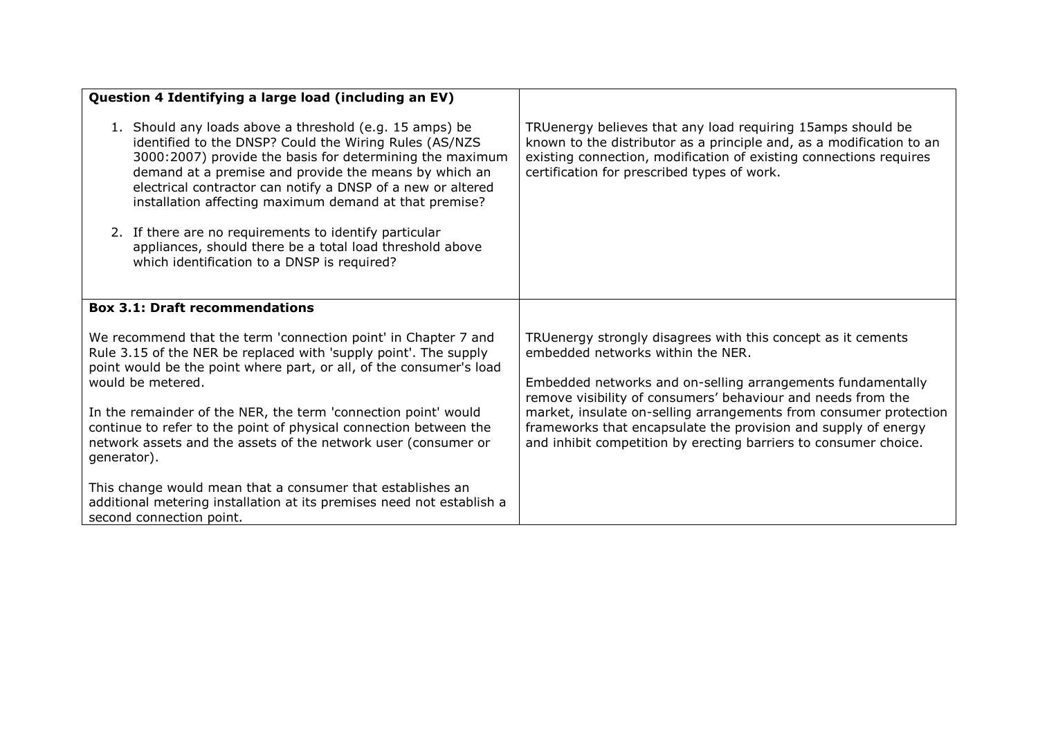| Question 4 Identifying a large load (including an EV)                                                                                                                                                                                                                                                                                                                                                                                                                                                                                |                                                                                                                                                                                                                                                                                                                                                                                                                                             |
|--------------------------------------------------------------------------------------------------------------------------------------------------------------------------------------------------------------------------------------------------------------------------------------------------------------------------------------------------------------------------------------------------------------------------------------------------------------------------------------------------------------------------------------|---------------------------------------------------------------------------------------------------------------------------------------------------------------------------------------------------------------------------------------------------------------------------------------------------------------------------------------------------------------------------------------------------------------------------------------------|
| 1. Should any loads above a threshold (e.g. 15 amps) be<br>identified to the DNSP? Could the Wiring Rules (AS/NZS<br>3000:2007) provide the basis for determining the maximum<br>demand at a premise and provide the means by which an<br>electrical contractor can notify a DNSP of a new or altered<br>installation affecting maximum demand at that premise?<br>2. If there are no requirements to identify particular<br>appliances, should there be a total load threshold above<br>which identification to a DNSP is required? | TRUenergy believes that any load requiring 15amps should be<br>known to the distributor as a principle and, as a modification to an<br>existing connection, modification of existing connections requires<br>certification for prescribed types of work.                                                                                                                                                                                    |
| <b>Box 3.1: Draft recommendations</b>                                                                                                                                                                                                                                                                                                                                                                                                                                                                                                |                                                                                                                                                                                                                                                                                                                                                                                                                                             |
| We recommend that the term 'connection point' in Chapter 7 and<br>Rule 3.15 of the NER be replaced with 'supply point'. The supply<br>point would be the point where part, or all, of the consumer's load<br>would be metered.<br>In the remainder of the NER, the term 'connection point' would<br>continue to refer to the point of physical connection between the<br>network assets and the assets of the network user (consumer or<br>generator).                                                                               | TRUenergy strongly disagrees with this concept as it cements<br>embedded networks within the NER.<br>Embedded networks and on-selling arrangements fundamentally<br>remove visibility of consumers' behaviour and needs from the<br>market, insulate on-selling arrangements from consumer protection<br>frameworks that encapsulate the provision and supply of energy<br>and inhibit competition by erecting barriers to consumer choice. |
| This change would mean that a consumer that establishes an<br>additional metering installation at its premises need not establish a<br>second connection point.                                                                                                                                                                                                                                                                                                                                                                      |                                                                                                                                                                                                                                                                                                                                                                                                                                             |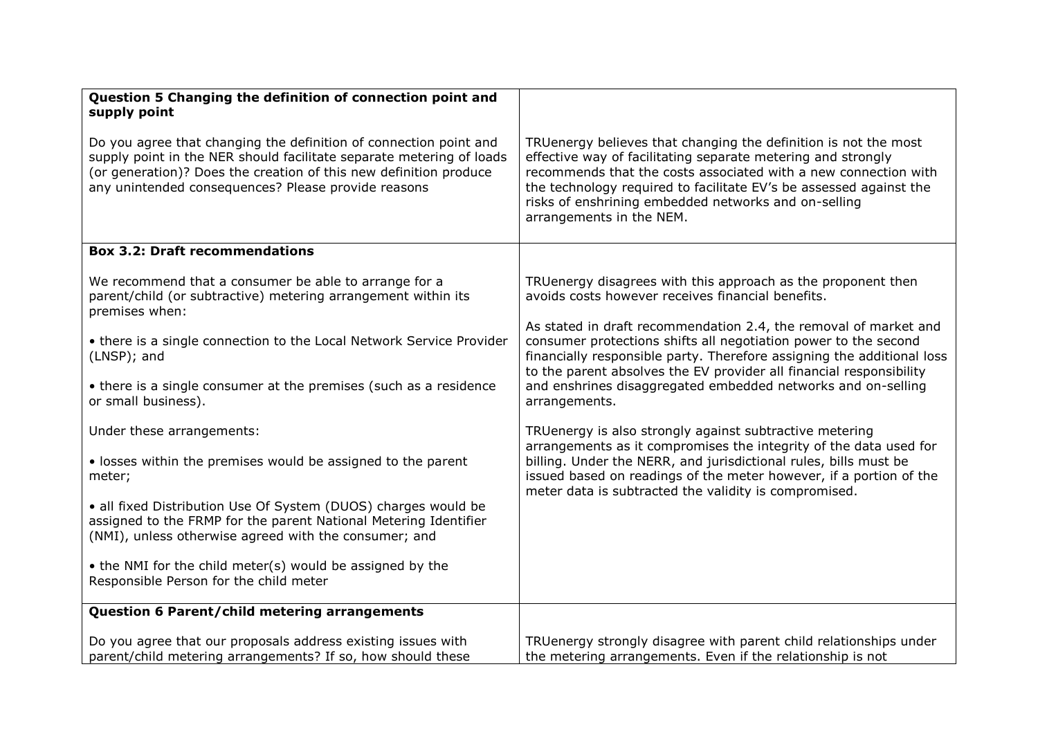| Question 5 Changing the definition of connection point and                                                                                                                                                                                                            |                                                                                                                                                                                                                                                                                                                                                              |
|-----------------------------------------------------------------------------------------------------------------------------------------------------------------------------------------------------------------------------------------------------------------------|--------------------------------------------------------------------------------------------------------------------------------------------------------------------------------------------------------------------------------------------------------------------------------------------------------------------------------------------------------------|
| supply point                                                                                                                                                                                                                                                          |                                                                                                                                                                                                                                                                                                                                                              |
|                                                                                                                                                                                                                                                                       |                                                                                                                                                                                                                                                                                                                                                              |
| Do you agree that changing the definition of connection point and<br>supply point in the NER should facilitate separate metering of loads<br>(or generation)? Does the creation of this new definition produce<br>any unintended consequences? Please provide reasons | TRUenergy believes that changing the definition is not the most<br>effective way of facilitating separate metering and strongly<br>recommends that the costs associated with a new connection with<br>the technology required to facilitate EV's be assessed against the<br>risks of enshrining embedded networks and on-selling<br>arrangements in the NEM. |
| <b>Box 3.2: Draft recommendations</b>                                                                                                                                                                                                                                 |                                                                                                                                                                                                                                                                                                                                                              |
| We recommend that a consumer be able to arrange for a<br>parent/child (or subtractive) metering arrangement within its<br>premises when:                                                                                                                              | TRUenergy disagrees with this approach as the proponent then<br>avoids costs however receives financial benefits.                                                                                                                                                                                                                                            |
| • there is a single connection to the Local Network Service Provider<br>(LNSP); and                                                                                                                                                                                   | As stated in draft recommendation 2.4, the removal of market and<br>consumer protections shifts all negotiation power to the second<br>financially responsible party. Therefore assigning the additional loss<br>to the parent absolves the EV provider all financial responsibility                                                                         |
| • there is a single consumer at the premises (such as a residence<br>or small business).                                                                                                                                                                              | and enshrines disaggregated embedded networks and on-selling<br>arrangements.                                                                                                                                                                                                                                                                                |
| Under these arrangements:                                                                                                                                                                                                                                             | TRUenergy is also strongly against subtractive metering<br>arrangements as it compromises the integrity of the data used for                                                                                                                                                                                                                                 |
| • losses within the premises would be assigned to the parent<br>meter;                                                                                                                                                                                                | billing. Under the NERR, and jurisdictional rules, bills must be<br>issued based on readings of the meter however, if a portion of the<br>meter data is subtracted the validity is compromised.                                                                                                                                                              |
| · all fixed Distribution Use Of System (DUOS) charges would be<br>assigned to the FRMP for the parent National Metering Identifier<br>(NMI), unless otherwise agreed with the consumer; and                                                                           |                                                                                                                                                                                                                                                                                                                                                              |
| • the NMI for the child meter(s) would be assigned by the<br>Responsible Person for the child meter                                                                                                                                                                   |                                                                                                                                                                                                                                                                                                                                                              |
| Question 6 Parent/child metering arrangements                                                                                                                                                                                                                         |                                                                                                                                                                                                                                                                                                                                                              |
| Do you agree that our proposals address existing issues with<br>parent/child metering arrangements? If so, how should these                                                                                                                                           | TRUenergy strongly disagree with parent child relationships under<br>the metering arrangements. Even if the relationship is not                                                                                                                                                                                                                              |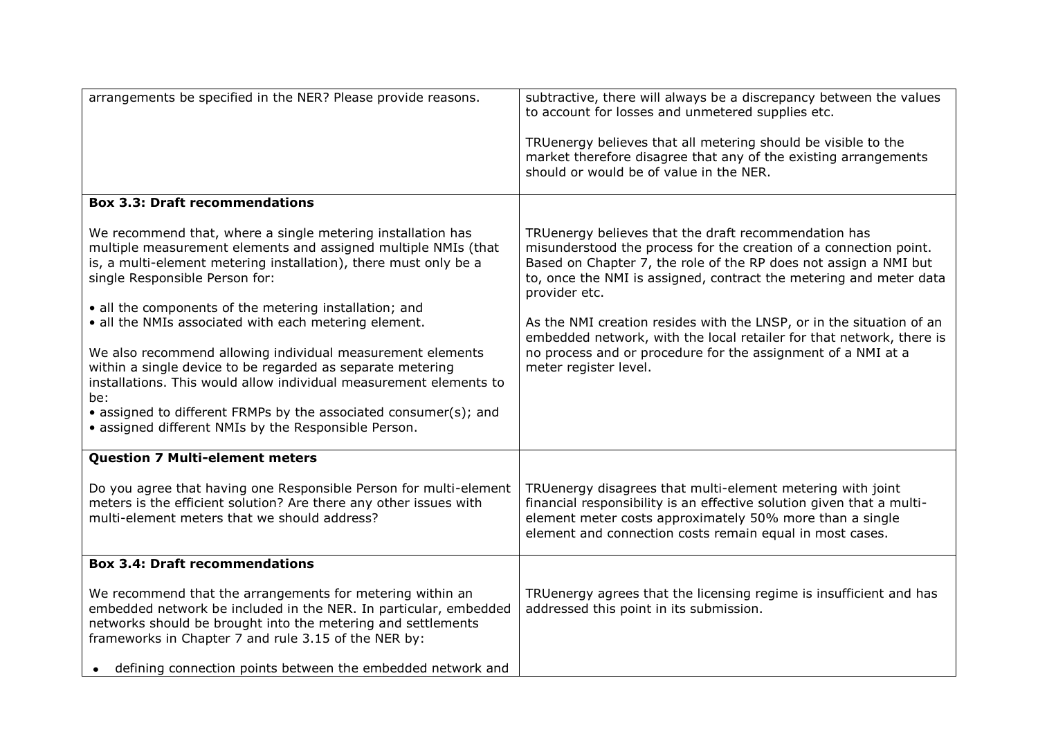| arrangements be specified in the NER? Please provide reasons.                                                                                                                                                                                                                                                                                                                                                                                                                                                                                                                                                                                                                               | subtractive, there will always be a discrepancy between the values<br>to account for losses and unmetered supplies etc.<br>TRUenergy believes that all metering should be visible to the<br>market therefore disagree that any of the existing arrangements<br>should or would be of value in the NER.                                                                                                                                                                                                                        |
|---------------------------------------------------------------------------------------------------------------------------------------------------------------------------------------------------------------------------------------------------------------------------------------------------------------------------------------------------------------------------------------------------------------------------------------------------------------------------------------------------------------------------------------------------------------------------------------------------------------------------------------------------------------------------------------------|-------------------------------------------------------------------------------------------------------------------------------------------------------------------------------------------------------------------------------------------------------------------------------------------------------------------------------------------------------------------------------------------------------------------------------------------------------------------------------------------------------------------------------|
| <b>Box 3.3: Draft recommendations</b>                                                                                                                                                                                                                                                                                                                                                                                                                                                                                                                                                                                                                                                       |                                                                                                                                                                                                                                                                                                                                                                                                                                                                                                                               |
| We recommend that, where a single metering installation has<br>multiple measurement elements and assigned multiple NMIs (that<br>is, a multi-element metering installation), there must only be a<br>single Responsible Person for:<br>• all the components of the metering installation; and<br>• all the NMIs associated with each metering element.<br>We also recommend allowing individual measurement elements<br>within a single device to be regarded as separate metering<br>installations. This would allow individual measurement elements to<br>be:<br>• assigned to different FRMPs by the associated consumer(s); and<br>• assigned different NMIs by the Responsible Person. | TRUenergy believes that the draft recommendation has<br>misunderstood the process for the creation of a connection point.<br>Based on Chapter 7, the role of the RP does not assign a NMI but<br>to, once the NMI is assigned, contract the metering and meter data<br>provider etc.<br>As the NMI creation resides with the LNSP, or in the situation of an<br>embedded network, with the local retailer for that network, there is<br>no process and or procedure for the assignment of a NMI at a<br>meter register level. |
| <b>Question 7 Multi-element meters</b>                                                                                                                                                                                                                                                                                                                                                                                                                                                                                                                                                                                                                                                      |                                                                                                                                                                                                                                                                                                                                                                                                                                                                                                                               |
| Do you agree that having one Responsible Person for multi-element<br>meters is the efficient solution? Are there any other issues with<br>multi-element meters that we should address?                                                                                                                                                                                                                                                                                                                                                                                                                                                                                                      | TRUenergy disagrees that multi-element metering with joint<br>financial responsibility is an effective solution given that a multi-<br>element meter costs approximately 50% more than a single<br>element and connection costs remain equal in most cases.                                                                                                                                                                                                                                                                   |
| <b>Box 3.4: Draft recommendations</b>                                                                                                                                                                                                                                                                                                                                                                                                                                                                                                                                                                                                                                                       |                                                                                                                                                                                                                                                                                                                                                                                                                                                                                                                               |
| We recommend that the arrangements for metering within an<br>embedded network be included in the NER. In particular, embedded<br>networks should be brought into the metering and settlements<br>frameworks in Chapter 7 and rule 3.15 of the NER by:                                                                                                                                                                                                                                                                                                                                                                                                                                       | TRUenergy agrees that the licensing regime is insufficient and has<br>addressed this point in its submission.                                                                                                                                                                                                                                                                                                                                                                                                                 |
| defining connection points between the embedded network and                                                                                                                                                                                                                                                                                                                                                                                                                                                                                                                                                                                                                                 |                                                                                                                                                                                                                                                                                                                                                                                                                                                                                                                               |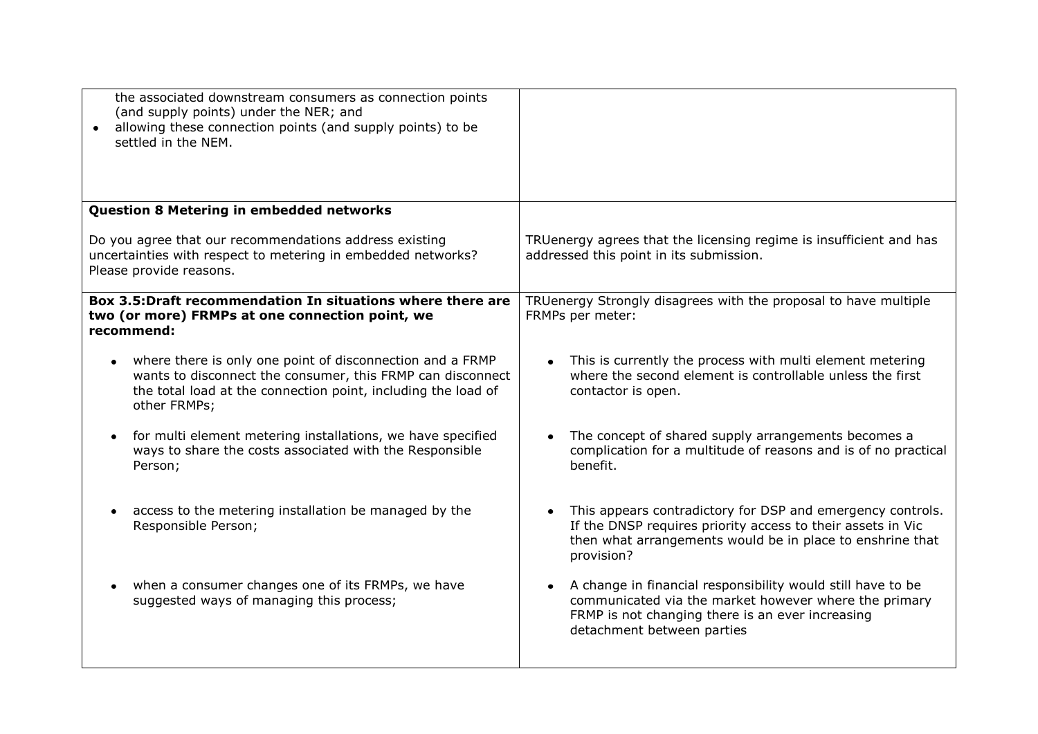| the associated downstream consumers as connection points<br>(and supply points) under the NER; and<br>allowing these connection points (and supply points) to be<br>settled in the NEM.                  |                                                                                                                                                                                                        |
|----------------------------------------------------------------------------------------------------------------------------------------------------------------------------------------------------------|--------------------------------------------------------------------------------------------------------------------------------------------------------------------------------------------------------|
| <b>Question 8 Metering in embedded networks</b>                                                                                                                                                          |                                                                                                                                                                                                        |
| Do you agree that our recommendations address existing<br>uncertainties with respect to metering in embedded networks?<br>Please provide reasons.                                                        | TRUenergy agrees that the licensing regime is insufficient and has<br>addressed this point in its submission.                                                                                          |
| Box 3.5: Draft recommendation In situations where there are<br>two (or more) FRMPs at one connection point, we<br>recommend:                                                                             | TRUenergy Strongly disagrees with the proposal to have multiple<br>FRMPs per meter:                                                                                                                    |
| where there is only one point of disconnection and a FRMP<br>wants to disconnect the consumer, this FRMP can disconnect<br>the total load at the connection point, including the load of<br>other FRMPs; | This is currently the process with multi element metering<br>where the second element is controllable unless the first<br>contactor is open.                                                           |
| for multi element metering installations, we have specified<br>ways to share the costs associated with the Responsible<br>Person;                                                                        | The concept of shared supply arrangements becomes a<br>complication for a multitude of reasons and is of no practical<br>benefit.                                                                      |
| access to the metering installation be managed by the<br>$\bullet$<br>Responsible Person;                                                                                                                | This appears contradictory for DSP and emergency controls.<br>If the DNSP requires priority access to their assets in Vic<br>then what arrangements would be in place to enshrine that<br>provision?   |
| when a consumer changes one of its FRMPs, we have<br>$\bullet$<br>suggested ways of managing this process;                                                                                               | A change in financial responsibility would still have to be<br>communicated via the market however where the primary<br>FRMP is not changing there is an ever increasing<br>detachment between parties |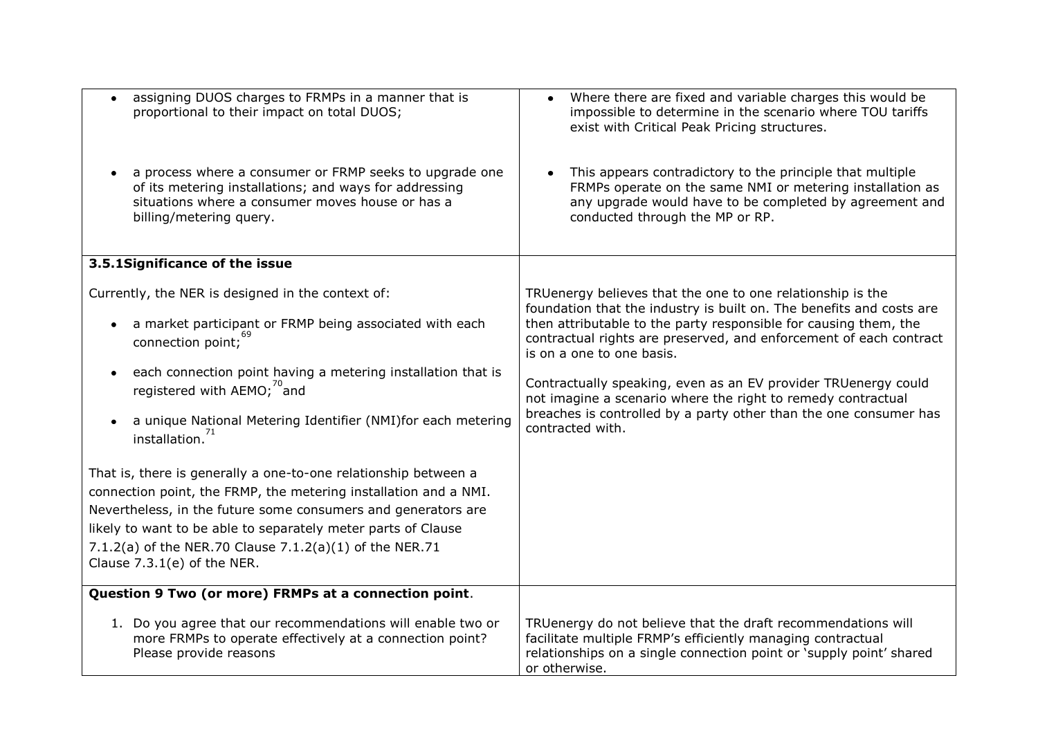| assigning DUOS charges to FRMPs in a manner that is<br>proportional to their impact on total DUOS;                                                                                                   | Where there are fixed and variable charges this would be<br>impossible to determine in the scenario where TOU tariffs<br>exist with Critical Peak Pricing structures.                                                |
|------------------------------------------------------------------------------------------------------------------------------------------------------------------------------------------------------|----------------------------------------------------------------------------------------------------------------------------------------------------------------------------------------------------------------------|
| a process where a consumer or FRMP seeks to upgrade one<br>of its metering installations; and ways for addressing<br>situations where a consumer moves house or has a<br>billing/metering query.     | This appears contradictory to the principle that multiple<br>FRMPs operate on the same NMI or metering installation as<br>any upgrade would have to be completed by agreement and<br>conducted through the MP or RP. |
| 3.5.1Significance of the issue                                                                                                                                                                       |                                                                                                                                                                                                                      |
| Currently, the NER is designed in the context of:                                                                                                                                                    | TRUenergy believes that the one to one relationship is the<br>foundation that the industry is built on. The benefits and costs are                                                                                   |
| a market participant or FRMP being associated with each<br>connection point; <sup>69</sup>                                                                                                           | then attributable to the party responsible for causing them, the<br>contractual rights are preserved, and enforcement of each contract<br>is on a one to one basis.                                                  |
| each connection point having a metering installation that is<br>registered with AEMO; <sup>"and</sup>                                                                                                | Contractually speaking, even as an EV provider TRUenergy could<br>not imagine a scenario where the right to remedy contractual                                                                                       |
| a unique National Metering Identifier (NMI)for each metering<br>installation.                                                                                                                        | breaches is controlled by a party other than the one consumer has<br>contracted with.                                                                                                                                |
| That is, there is generally a one-to-one relationship between a<br>connection point, the FRMP, the metering installation and a NMI.<br>Nevertheless, in the future some consumers and generators are |                                                                                                                                                                                                                      |
| likely to want to be able to separately meter parts of Clause                                                                                                                                        |                                                                                                                                                                                                                      |
| 7.1.2(a) of the NER.70 Clause 7.1.2(a)(1) of the NER.71<br>Clause $7.3.1(e)$ of the NER.                                                                                                             |                                                                                                                                                                                                                      |
| Question 9 Two (or more) FRMPs at a connection point.                                                                                                                                                |                                                                                                                                                                                                                      |
| 1. Do you agree that our recommendations will enable two or<br>more FRMPs to operate effectively at a connection point?<br>Please provide reasons                                                    | TRUenergy do not believe that the draft recommendations will<br>facilitate multiple FRMP's efficiently managing contractual<br>relationships on a single connection point or 'supply point' shared<br>or otherwise.  |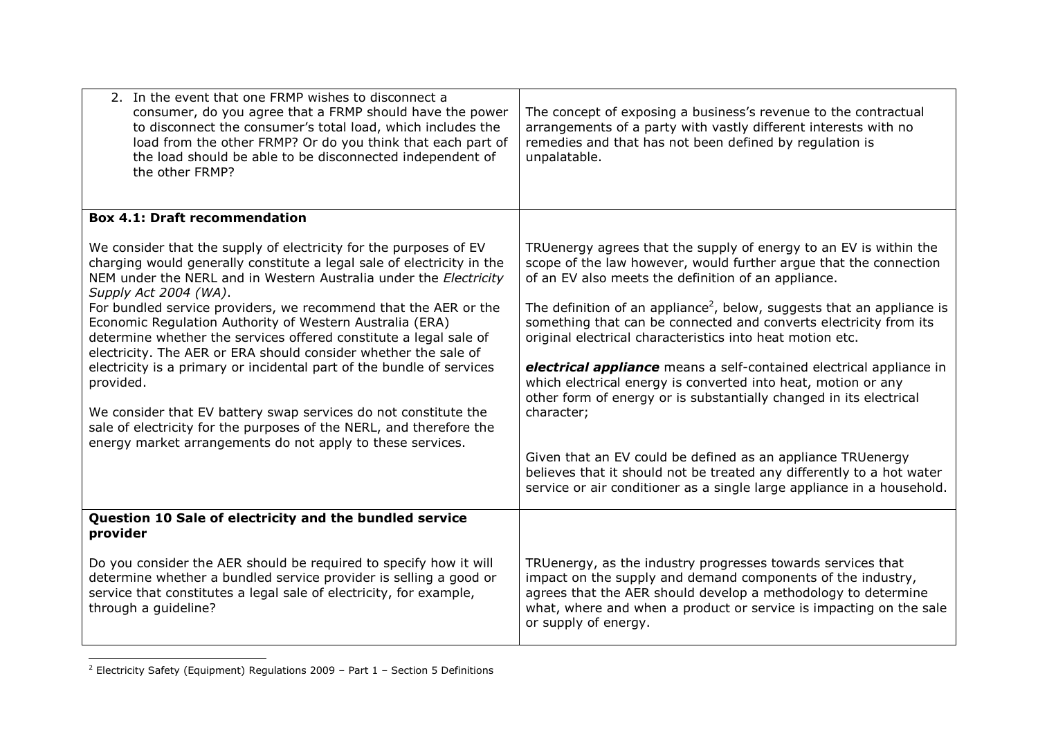| 2. In the event that one FRMP wishes to disconnect a<br>consumer, do you agree that a FRMP should have the power<br>to disconnect the consumer's total load, which includes the<br>load from the other FRMP? Or do you think that each part of<br>the load should be able to be disconnected independent of<br>the other FRMP? | The concept of exposing a business's revenue to the contractual<br>arrangements of a party with vastly different interests with no<br>remedies and that has not been defined by regulation is<br>unpalatable.                                                                             |
|--------------------------------------------------------------------------------------------------------------------------------------------------------------------------------------------------------------------------------------------------------------------------------------------------------------------------------|-------------------------------------------------------------------------------------------------------------------------------------------------------------------------------------------------------------------------------------------------------------------------------------------|
| <b>Box 4.1: Draft recommendation</b>                                                                                                                                                                                                                                                                                           |                                                                                                                                                                                                                                                                                           |
| We consider that the supply of electricity for the purposes of EV<br>charging would generally constitute a legal sale of electricity in the<br>NEM under the NERL and in Western Australia under the Electricity<br>Supply Act 2004 (WA).                                                                                      | TRUenergy agrees that the supply of energy to an EV is within the<br>scope of the law however, would further argue that the connection<br>of an EV also meets the definition of an appliance.                                                                                             |
| For bundled service providers, we recommend that the AER or the<br>Economic Regulation Authority of Western Australia (ERA)<br>determine whether the services offered constitute a legal sale of<br>electricity. The AER or ERA should consider whether the sale of                                                            | The definition of an appliance <sup>2</sup> , below, suggests that an appliance is<br>something that can be connected and converts electricity from its<br>original electrical characteristics into heat motion etc.                                                                      |
| electricity is a primary or incidental part of the bundle of services<br>provided.                                                                                                                                                                                                                                             | electrical appliance means a self-contained electrical appliance in<br>which electrical energy is converted into heat, motion or any<br>other form of energy or is substantially changed in its electrical                                                                                |
| We consider that EV battery swap services do not constitute the<br>sale of electricity for the purposes of the NERL, and therefore the<br>energy market arrangements do not apply to these services.                                                                                                                           | character;                                                                                                                                                                                                                                                                                |
|                                                                                                                                                                                                                                                                                                                                | Given that an EV could be defined as an appliance TRUenergy<br>believes that it should not be treated any differently to a hot water<br>service or air conditioner as a single large appliance in a household.                                                                            |
| Question 10 Sale of electricity and the bundled service<br>provider                                                                                                                                                                                                                                                            |                                                                                                                                                                                                                                                                                           |
| Do you consider the AER should be required to specify how it will<br>determine whether a bundled service provider is selling a good or<br>service that constitutes a legal sale of electricity, for example,<br>through a guideline?                                                                                           | TRUenergy, as the industry progresses towards services that<br>impact on the supply and demand components of the industry,<br>agrees that the AER should develop a methodology to determine<br>what, where and when a product or service is impacting on the sale<br>or supply of energy. |

<sup>&</sup>lt;sup>2</sup> Electricity Safety (Equipment) Regulations 2009 – Part  $1$  – Section 5 Definitions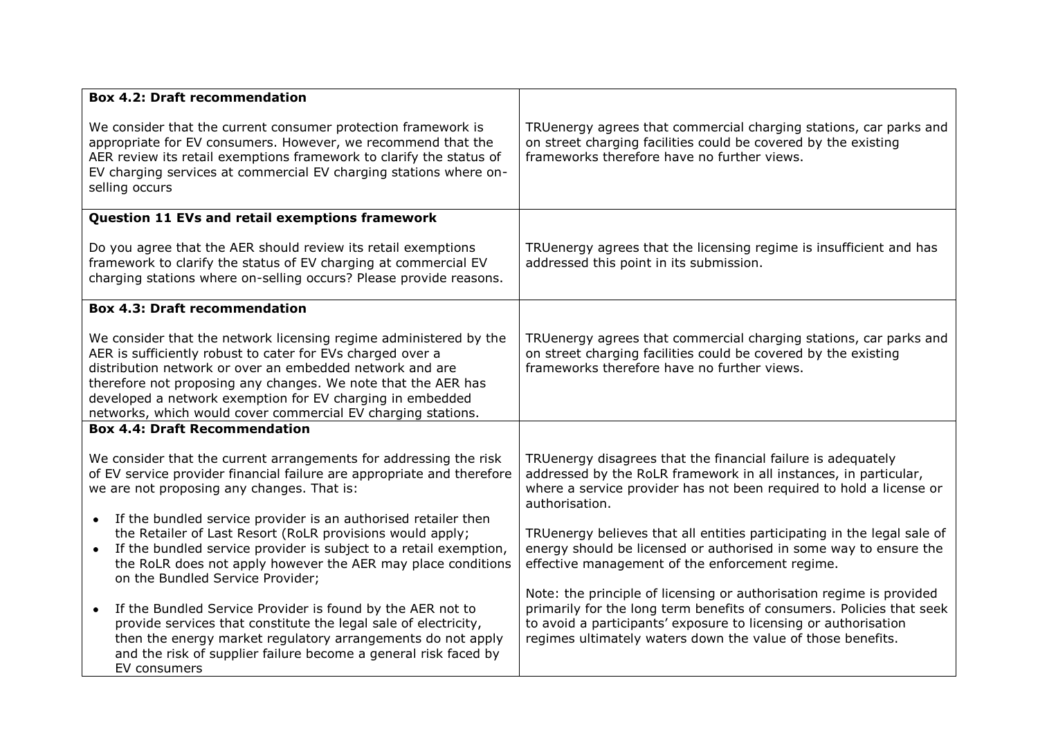| <b>Box 4.2: Draft recommendation</b>                                                                                                                                                                                                                                                                                                                                                      |                                                                                                                                                                                                                                                                                 |
|-------------------------------------------------------------------------------------------------------------------------------------------------------------------------------------------------------------------------------------------------------------------------------------------------------------------------------------------------------------------------------------------|---------------------------------------------------------------------------------------------------------------------------------------------------------------------------------------------------------------------------------------------------------------------------------|
| We consider that the current consumer protection framework is<br>appropriate for EV consumers. However, we recommend that the<br>AER review its retail exemptions framework to clarify the status of<br>EV charging services at commercial EV charging stations where on-<br>selling occurs                                                                                               | TRUenergy agrees that commercial charging stations, car parks and<br>on street charging facilities could be covered by the existing<br>frameworks therefore have no further views.                                                                                              |
| Question 11 EVs and retail exemptions framework                                                                                                                                                                                                                                                                                                                                           |                                                                                                                                                                                                                                                                                 |
| Do you agree that the AER should review its retail exemptions<br>framework to clarify the status of EV charging at commercial EV<br>charging stations where on-selling occurs? Please provide reasons.                                                                                                                                                                                    | TRUenergy agrees that the licensing regime is insufficient and has<br>addressed this point in its submission.                                                                                                                                                                   |
| <b>Box 4.3: Draft recommendation</b>                                                                                                                                                                                                                                                                                                                                                      |                                                                                                                                                                                                                                                                                 |
| We consider that the network licensing regime administered by the<br>AER is sufficiently robust to cater for EVs charged over a<br>distribution network or over an embedded network and are<br>therefore not proposing any changes. We note that the AER has<br>developed a network exemption for EV charging in embedded<br>networks, which would cover commercial EV charging stations. | TRUenergy agrees that commercial charging stations, car parks and<br>on street charging facilities could be covered by the existing<br>frameworks therefore have no further views.                                                                                              |
| <b>Box 4.4: Draft Recommendation</b>                                                                                                                                                                                                                                                                                                                                                      |                                                                                                                                                                                                                                                                                 |
| We consider that the current arrangements for addressing the risk<br>of EV service provider financial failure are appropriate and therefore<br>we are not proposing any changes. That is:<br>If the bundled service provider is an authorised retailer then<br>$\bullet$                                                                                                                  | TRUenergy disagrees that the financial failure is adequately<br>addressed by the RoLR framework in all instances, in particular,<br>where a service provider has not been required to hold a license or<br>authorisation.                                                       |
| the Retailer of Last Resort (RoLR provisions would apply;<br>If the bundled service provider is subject to a retail exemption,<br>$\bullet$<br>the RoLR does not apply however the AER may place conditions<br>on the Bundled Service Provider;                                                                                                                                           | TRUenergy believes that all entities participating in the legal sale of<br>energy should be licensed or authorised in some way to ensure the<br>effective management of the enforcement regime.                                                                                 |
| If the Bundled Service Provider is found by the AER not to<br>provide services that constitute the legal sale of electricity,<br>then the energy market regulatory arrangements do not apply<br>and the risk of supplier failure become a general risk faced by<br>EV consumers                                                                                                           | Note: the principle of licensing or authorisation regime is provided<br>primarily for the long term benefits of consumers. Policies that seek<br>to avoid a participants' exposure to licensing or authorisation<br>regimes ultimately waters down the value of those benefits. |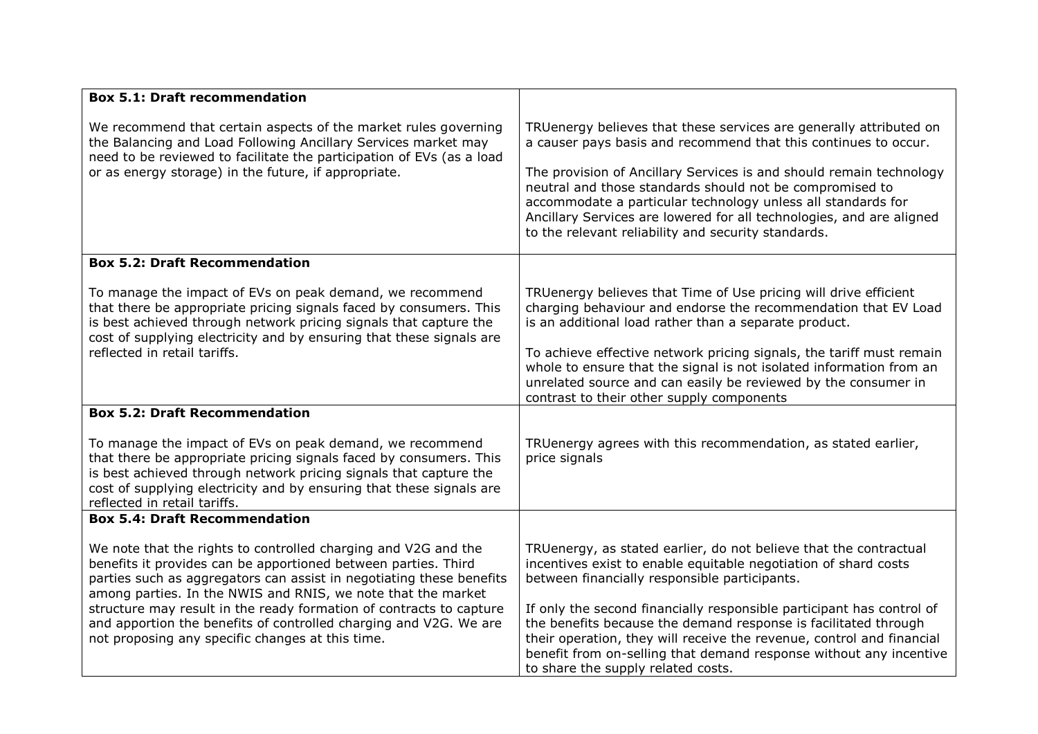| <b>Box 5.1: Draft recommendation</b>                                                                                                                                                                                                                                                                                                                                                                                                                                     |                                                                                                                                                                                                                                                                                                                                                                                                                                                                                                                        |
|--------------------------------------------------------------------------------------------------------------------------------------------------------------------------------------------------------------------------------------------------------------------------------------------------------------------------------------------------------------------------------------------------------------------------------------------------------------------------|------------------------------------------------------------------------------------------------------------------------------------------------------------------------------------------------------------------------------------------------------------------------------------------------------------------------------------------------------------------------------------------------------------------------------------------------------------------------------------------------------------------------|
| We recommend that certain aspects of the market rules governing<br>the Balancing and Load Following Ancillary Services market may<br>need to be reviewed to facilitate the participation of EVs (as a load<br>or as energy storage) in the future, if appropriate.                                                                                                                                                                                                       | TRUenergy believes that these services are generally attributed on<br>a causer pays basis and recommend that this continues to occur.<br>The provision of Ancillary Services is and should remain technology<br>neutral and those standards should not be compromised to<br>accommodate a particular technology unless all standards for<br>Ancillary Services are lowered for all technologies, and are aligned<br>to the relevant reliability and security standards.                                                |
| <b>Box 5.2: Draft Recommendation</b>                                                                                                                                                                                                                                                                                                                                                                                                                                     |                                                                                                                                                                                                                                                                                                                                                                                                                                                                                                                        |
| To manage the impact of EVs on peak demand, we recommend<br>that there be appropriate pricing signals faced by consumers. This<br>is best achieved through network pricing signals that capture the<br>cost of supplying electricity and by ensuring that these signals are<br>reflected in retail tariffs.                                                                                                                                                              | TRUenergy believes that Time of Use pricing will drive efficient<br>charging behaviour and endorse the recommendation that EV Load<br>is an additional load rather than a separate product.<br>To achieve effective network pricing signals, the tariff must remain<br>whole to ensure that the signal is not isolated information from an<br>unrelated source and can easily be reviewed by the consumer in<br>contrast to their other supply components                                                              |
| <b>Box 5.2: Draft Recommendation</b>                                                                                                                                                                                                                                                                                                                                                                                                                                     |                                                                                                                                                                                                                                                                                                                                                                                                                                                                                                                        |
| To manage the impact of EVs on peak demand, we recommend<br>that there be appropriate pricing signals faced by consumers. This<br>is best achieved through network pricing signals that capture the<br>cost of supplying electricity and by ensuring that these signals are<br>reflected in retail tariffs.                                                                                                                                                              | TRUenergy agrees with this recommendation, as stated earlier,<br>price signals                                                                                                                                                                                                                                                                                                                                                                                                                                         |
| <b>Box 5.4: Draft Recommendation</b>                                                                                                                                                                                                                                                                                                                                                                                                                                     |                                                                                                                                                                                                                                                                                                                                                                                                                                                                                                                        |
| We note that the rights to controlled charging and V2G and the<br>benefits it provides can be apportioned between parties. Third<br>parties such as aggregators can assist in negotiating these benefits<br>among parties. In the NWIS and RNIS, we note that the market<br>structure may result in the ready formation of contracts to capture<br>and apportion the benefits of controlled charging and V2G. We are<br>not proposing any specific changes at this time. | TRUenergy, as stated earlier, do not believe that the contractual<br>incentives exist to enable equitable negotiation of shard costs<br>between financially responsible participants.<br>If only the second financially responsible participant has control of<br>the benefits because the demand response is facilitated through<br>their operation, they will receive the revenue, control and financial<br>benefit from on-selling that demand response without any incentive<br>to share the supply related costs. |